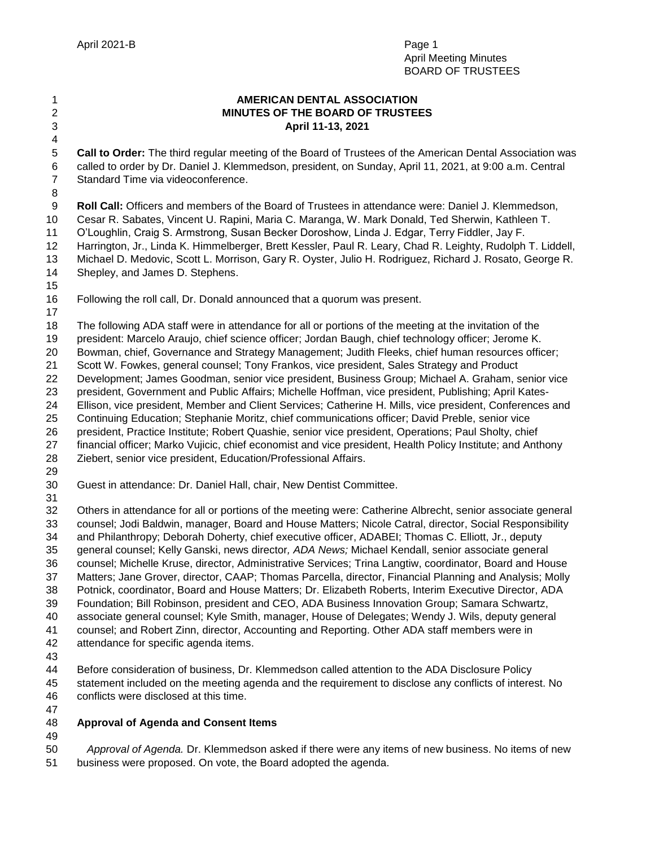# **AMERICAN DENTAL ASSOCIATION MINUTES OF THE BOARD OF TRUSTEES April 11-13, 2021**

 **Call to Order:** The third regular meeting of the Board of Trustees of the American Dental Association was called to order by Dr. Daniel J. Klemmedson, president, on Sunday, April 11, 2021, at 9:00 a.m. Central Standard Time via videoconference.

**Roll Call:** Officers and members of the Board of Trustees in attendance were: Daniel J. Klemmedson,

Cesar R. Sabates, Vincent U. Rapini, Maria C. Maranga, W. Mark Donald, Ted Sherwin, Kathleen T.

O'Loughlin, Craig S. Armstrong, Susan Becker Doroshow, Linda J. Edgar, Terry Fiddler, Jay F.

Harrington, Jr., Linda K. Himmelberger, Brett Kessler, Paul R. Leary, Chad R. Leighty, Rudolph T. Liddell,

 Michael D. Medovic, Scott L. Morrison, Gary R. Oyster, Julio H. Rodriguez, Richard J. Rosato, George R. Shepley, and James D. Stephens.

Following the roll call, Dr. Donald announced that a quorum was present.

The following ADA staff were in attendance for all or portions of the meeting at the invitation of the

president: Marcelo Araujo, chief science officer; Jordan Baugh, chief technology officer; Jerome K.

Bowman, chief, Governance and Strategy Management; Judith Fleeks, chief human resources officer;

Scott W. Fowkes, general counsel; Tony Frankos, vice president, Sales Strategy and Product

Development; James Goodman, senior vice president, Business Group; Michael A. Graham, senior vice

president, Government and Public Affairs; Michelle Hoffman, vice president, Publishing; April Kates-

Ellison, vice president, Member and Client Services; Catherine H. Mills, vice president, Conferences and

Continuing Education; Stephanie Moritz, chief communications officer; David Preble, senior vice

president, Practice Institute; Robert Quashie, senior vice president, Operations; Paul Sholty, chief

 financial officer; Marko Vujicic, chief economist and vice president, Health Policy Institute; and Anthony Ziebert, senior vice president, Education/Professional Affairs.

Guest in attendance: Dr. Daniel Hall, chair, New Dentist Committee.

 Others in attendance for all or portions of the meeting were: Catherine Albrecht, senior associate general counsel; Jodi Baldwin, manager, Board and House Matters; Nicole Catral, director, Social Responsibility and Philanthropy; Deborah Doherty, chief executive officer, ADABEI; Thomas C. Elliott, Jr., deputy general counsel; Kelly Ganski, news director*, ADA News;* Michael Kendall, senior associate general counsel; Michelle Kruse, director, Administrative Services; Trina Langtiw, coordinator, Board and House Matters; Jane Grover, director, CAAP; Thomas Parcella, director, Financial Planning and Analysis; Molly

Potnick, coordinator, Board and House Matters; Dr. Elizabeth Roberts, Interim Executive Director, ADA

Foundation; Bill Robinson, president and CEO, ADA Business Innovation Group; Samara Schwartz,

associate general counsel; Kyle Smith, manager, House of Delegates; Wendy J. Wils, deputy general

counsel; and Robert Zinn, director, Accounting and Reporting. Other ADA staff members were in

- attendance for specific agenda items.
- 

 Before consideration of business, Dr. Klemmedson called attention to the ADA Disclosure Policy statement included on the meeting agenda and the requirement to disclose any conflicts of interest. No

conflicts were disclosed at this time.

# **Approval of Agenda and Consent Items**

 *Approval of Agenda.* Dr. Klemmedson asked if there were any items of new business. No items of new business were proposed. On vote, the Board adopted the agenda.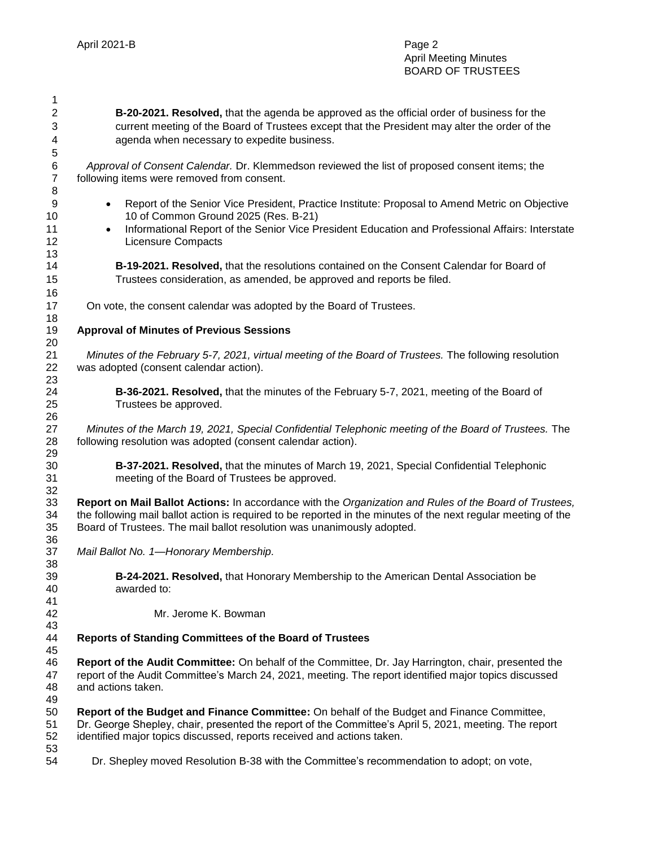**B-20-2021. Resolved,** that the agenda be approved as the official order of business for the current meeting of the Board of Trustees except that the President may alter the order of the agenda when necessary to expedite business. *Approval of Consent Calendar.* Dr. Klemmedson reviewed the list of proposed consent items; the following items were removed from consent. **Bullets** Report of the Senior Vice President, Practice Institute: Proposal to Amend Metric on Objective 10 of Common Ground 2025 (Res. B-21) 11 • Informational Report of the Senior Vice President Education and Professional Affairs: Interstate Licensure Compacts **B-19-2021. Resolved,** that the resolutions contained on the Consent Calendar for Board of Trustees consideration, as amended, be approved and reports be filed. On vote, the consent calendar was adopted by the Board of Trustees. **Approval of Minutes of Previous Sessions** *Minutes of the February 5-7, 2021, virtual meeting of the Board of Trustees.* The following resolution was adopted (consent calendar action). **B-36-2021. Resolved,** that the minutes of the February 5-7, 2021, meeting of the Board of Trustees be approved. *Minutes of the March 19, 2021, Special Confidential Telephonic meeting of the Board of Trustees.* The following resolution was adopted (consent calendar action). **B-37-2021. Resolved,** that the minutes of March 19, 2021, Special Confidential Telephonic meeting of the Board of Trustees be approved. **Report on Mail Ballot Actions:** In accordance with the *Organization and Rules of the Board of Trustees,*  the following mail ballot action is required to be reported in the minutes of the next regular meeting of the Board of Trustees. The mail ballot resolution was unanimously adopted. *Mail Ballot No. 1—Honorary Membership.* **B-24-2021. Resolved,** that Honorary Membership to the American Dental Association be awarded to: Mr. Jerome K. Bowman **Reports of Standing Committees of the Board of Trustees Report of the Audit Committee:** On behalf of the Committee, Dr. Jay Harrington, chair, presented the report of the Audit Committee's March 24, 2021, meeting. The report identified major topics discussed and actions taken. **Report of the Budget and Finance Committee:** On behalf of the Budget and Finance Committee, Dr. George Shepley, chair, presented the report of the Committee's April 5, 2021, meeting. The report identified major topics discussed, reports received and actions taken. 54 Dr. Shepley moved Resolution B-38 with the Committee's recommendation to adopt; on vote,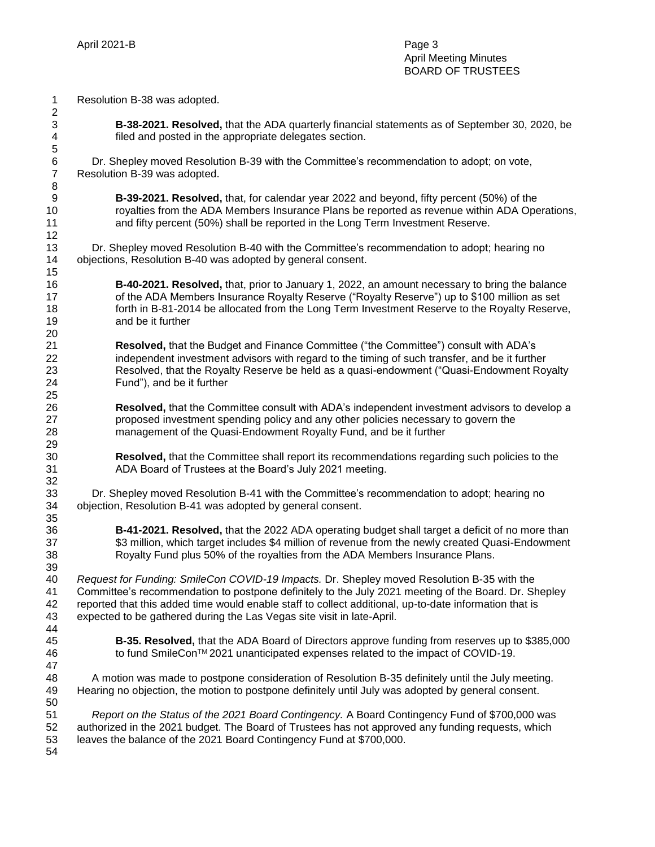Resolution B-38 was adopted.

 **B-38-2021. Resolved,** that the ADA quarterly financial statements as of September 30, 2020, be filed and posted in the appropriate delegates section.

6 Dr. Shepley moved Resolution B-39 with the Committee's recommendation to adopt; on vote, Resolution B-39 was adopted.

 **B-39-2021. Resolved,** that, for calendar year 2022 and beyond, fifty percent (50%) of the royalties from the ADA Members Insurance Plans be reported as revenue within ADA Operations, and fifty percent (50%) shall be reported in the Long Term Investment Reserve.

13 Dr. Shepley moved Resolution B-40 with the Committee's recommendation to adopt; hearing no objections, Resolution B-40 was adopted by general consent.

 **B-40-2021. Resolved,** that, prior to January 1, 2022, an amount necessary to bring the balance of the ADA Members Insurance Royalty Reserve ("Royalty Reserve") up to \$100 million as set 18 forth in B-81-2014 be allocated from the Long Term Investment Reserve to the Royalty Reserve, and be it further

 **Resolved,** that the Budget and Finance Committee ("the Committee") consult with ADA's independent investment advisors with regard to the timing of such transfer, and be it further Resolved, that the Royalty Reserve be held as a quasi-endowment ("Quasi-Endowment Royalty Fund"), and be it further

 **Resolved,** that the Committee consult with ADA's independent investment advisors to develop a proposed investment spending policy and any other policies necessary to govern the management of the Quasi-Endowment Royalty Fund, and be it further

 **Resolved,** that the Committee shall report its recommendations regarding such policies to the ADA Board of Trustees at the Board's July 2021 meeting.

33 Dr. Shepley moved Resolution B-41 with the Committee's recommendation to adopt; hearing no objection, Resolution B-41 was adopted by general consent.

 **B-41-2021. Resolved,** that the 2022 ADA operating budget shall target a deficit of no more than 37 \$3 million, which target includes \$4 million of revenue from the newly created Quasi-Endowment Royalty Fund plus 50% of the royalties from the ADA Members Insurance Plans.

 *Request for Funding: SmileCon COVID-19 Impacts.* Dr. Shepley moved Resolution B-35 with the Committee's recommendation to postpone definitely to the July 2021 meeting of the Board. Dr. Shepley reported that this added time would enable staff to collect additional, up-to-date information that is expected to be gathered during the Las Vegas site visit in late-April. 

 **B-35. Resolved,** that the ADA Board of Directors approve funding from reserves up to \$385,000 to fund SmileConTM 2021 unanticipated expenses related to the impact of COVID-19.

 48 A motion was made to postpone consideration of Resolution B-35 definitely until the July meeting. Hearing no objection, the motion to postpone definitely until July was adopted by general consent. 

 *Report on the Status of the 2021 Board Contingency.* A Board Contingency Fund of \$700,000 was authorized in the 2021 budget. The Board of Trustees has not approved any funding requests, which leaves the balance of the 2021 Board Contingency Fund at \$700,000.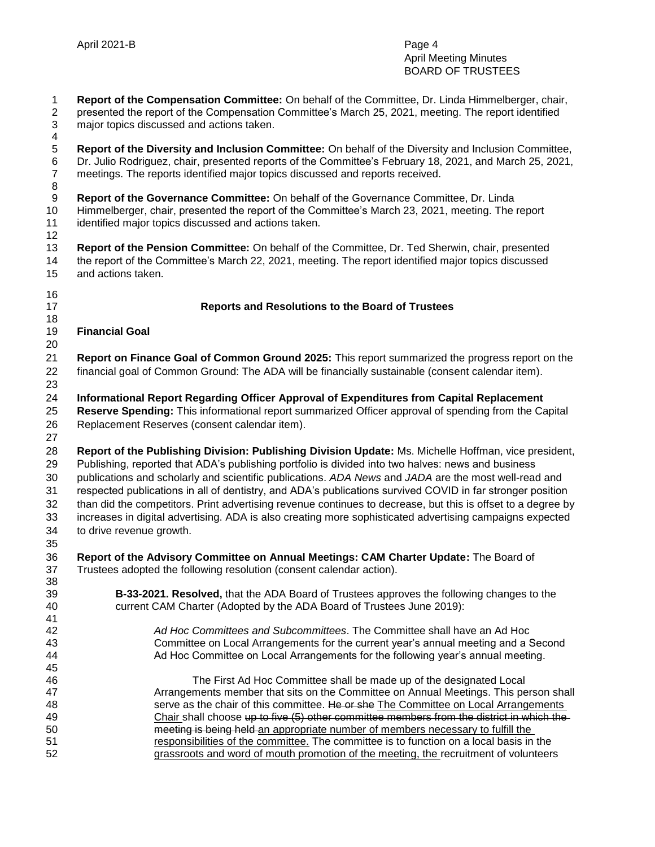**Report of the Compensation Committee:** On behalf of the Committee, Dr. Linda Himmelberger, chair, presented the report of the Compensation Committee's March 25, 2021, meeting. The report identified major topics discussed and actions taken.

 $\frac{4}{5}$  **Report of the Diversity and Inclusion Committee:** On behalf of the Diversity and Inclusion Committee, Dr. Julio Rodriguez, chair, presented reports of the Committee's February 18, 2021, and March 25, 2021, meetings. The reports identified major topics discussed and reports received.

- **Report of the Governance Committee:** On behalf of the Governance Committee, Dr. Linda
- Himmelberger, chair, presented the report of the Committee's March 23, 2021, meeting. The report identified major topics discussed and actions taken.
- **Report of the Pension Committee:** On behalf of the Committee, Dr. Ted Sherwin, chair, presented the report of the Committee's March 22, 2021, meeting. The report identified major topics discussed and actions taken.
- 

## **Reports and Resolutions to the Board of Trustees**

- **Financial Goal**
- 

 **Report on Finance Goal of Common Ground 2025:** This report summarized the progress report on the financial goal of Common Ground: The ADA will be financially sustainable (consent calendar item). 

**Informational Report Regarding Officer Approval of Expenditures from Capital Replacement** 

 **Reserve Spending:** This informational report summarized Officer approval of spending from the Capital Replacement Reserves (consent calendar item).

 **Report of the Publishing Division: Publishing Division Update:** Ms. Michelle Hoffman, vice president, Publishing, reported that ADA's publishing portfolio is divided into two halves: news and business publications and scholarly and scientific publications. *ADA News* and *JADA* are the most well-read and respected publications in all of dentistry, and ADA's publications survived COVID in far stronger position than did the competitors. Print advertising revenue continues to decrease, but this is offset to a degree by increases in digital advertising. ADA is also creating more sophisticated advertising campaigns expected to drive revenue growth.

 **Report of the Advisory Committee on Annual Meetings: CAM Charter Update:** The Board of Trustees adopted the following resolution (consent calendar action). 

- **B-33-2021. Resolved,** that the ADA Board of Trustees approves the following changes to the current CAM Charter (Adopted by the ADA Board of Trustees June 2019):
- *Ad Hoc Committees and Subcommittees*. The Committee shall have an Ad Hoc Committee on Local Arrangements for the current year's annual meeting and a Second 44 Ad Hoc Committee on Local Arrangements for the following year's annual meeting.
- The First Ad Hoc Committee shall be made up of the designated Local Arrangements member that sits on the Committee on Annual Meetings. This person shall 48 serve as the chair of this committee. He or she The Committee on Local Arrangements 49 Chair shall choose up to five (5) other committee members from the district in which the meeting is being held an appropriate number of members necessary to fulfill the **responsibilities of the committee.** The committee is to function on a local basis in the grassroots and word of mouth promotion of the meeting, the recruitment of volunteers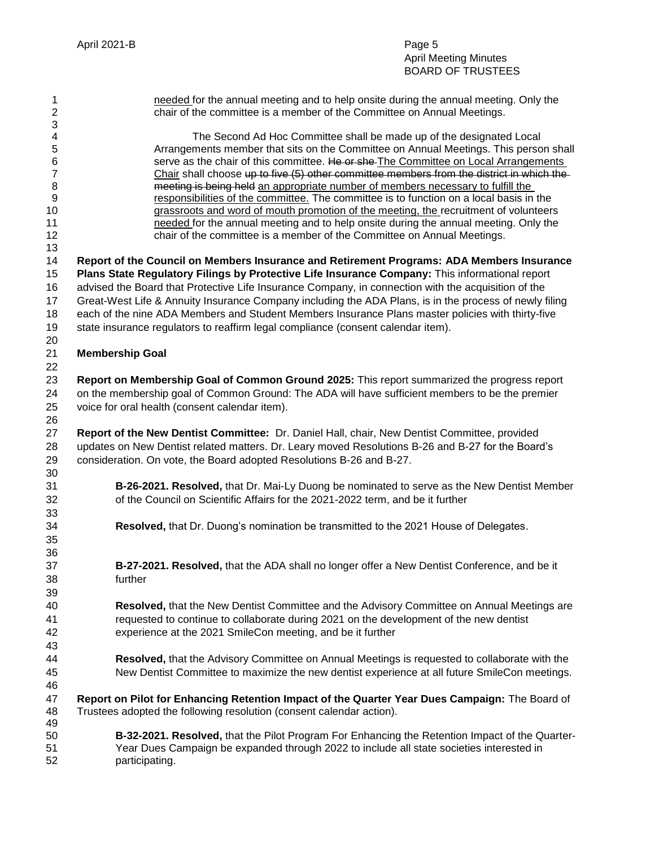# April Meeting Minutes BOARD OF TRUSTEES

| 1<br>$\overline{c}$ | needed for the annual meeting and to help onsite during the annual meeting. Only the<br>chair of the committee is a member of the Committee on Annual Meetings.                                               |
|---------------------|---------------------------------------------------------------------------------------------------------------------------------------------------------------------------------------------------------------|
| 3<br>4              | The Second Ad Hoc Committee shall be made up of the designated Local                                                                                                                                          |
| 5                   | Arrangements member that sits on the Committee on Annual Meetings. This person shall                                                                                                                          |
| 6                   | serve as the chair of this committee. He or she-The Committee on Local Arrangements                                                                                                                           |
| $\overline{7}$      | Chair shall choose up to five (5) other committee members from the district in which the                                                                                                                      |
| 8                   | meeting is being held an appropriate number of members necessary to fulfill the                                                                                                                               |
| 9                   | responsibilities of the committee. The committee is to function on a local basis in the                                                                                                                       |
| 10                  | grassroots and word of mouth promotion of the meeting, the recruitment of volunteers                                                                                                                          |
| 11                  | needed for the annual meeting and to help onsite during the annual meeting. Only the                                                                                                                          |
| 12                  | chair of the committee is a member of the Committee on Annual Meetings.                                                                                                                                       |
| 13                  |                                                                                                                                                                                                               |
| 14                  | Report of the Council on Members Insurance and Retirement Programs: ADA Members Insurance                                                                                                                     |
| 15                  | Plans State Regulatory Filings by Protective Life Insurance Company: This informational report                                                                                                                |
| 16<br>17            | advised the Board that Protective Life Insurance Company, in connection with the acquisition of the<br>Great-West Life & Annuity Insurance Company including the ADA Plans, is in the process of newly filing |
| 18                  | each of the nine ADA Members and Student Members Insurance Plans master policies with thirty-five                                                                                                             |
| 19                  | state insurance regulators to reaffirm legal compliance (consent calendar item).                                                                                                                              |
| 20                  |                                                                                                                                                                                                               |
| 21                  | <b>Membership Goal</b>                                                                                                                                                                                        |
| 22                  |                                                                                                                                                                                                               |
| 23                  | Report on Membership Goal of Common Ground 2025: This report summarized the progress report                                                                                                                   |
| 24                  | on the membership goal of Common Ground: The ADA will have sufficient members to be the premier                                                                                                               |
| 25                  | voice for oral health (consent calendar item).                                                                                                                                                                |
| 26                  |                                                                                                                                                                                                               |
| 27                  | Report of the New Dentist Committee: Dr. Daniel Hall, chair, New Dentist Committee, provided                                                                                                                  |
| 28                  | updates on New Dentist related matters. Dr. Leary moved Resolutions B-26 and B-27 for the Board's                                                                                                             |
| 29                  | consideration. On vote, the Board adopted Resolutions B-26 and B-27.                                                                                                                                          |
| 30                  |                                                                                                                                                                                                               |
| 31                  | B-26-2021. Resolved, that Dr. Mai-Ly Duong be nominated to serve as the New Dentist Member                                                                                                                    |
| 32                  | of the Council on Scientific Affairs for the 2021-2022 term, and be it further                                                                                                                                |
| 33                  |                                                                                                                                                                                                               |
| 34                  | Resolved, that Dr. Duong's nomination be transmitted to the 2021 House of Delegates.                                                                                                                          |
| 35                  |                                                                                                                                                                                                               |
| 36                  |                                                                                                                                                                                                               |
| 37                  | B-27-2021. Resolved, that the ADA shall no longer offer a New Dentist Conference, and be it                                                                                                                   |
| 38                  | further                                                                                                                                                                                                       |
| 39                  |                                                                                                                                                                                                               |
| 40                  | Resolved, that the New Dentist Committee and the Advisory Committee on Annual Meetings are                                                                                                                    |
| 41<br>42            | requested to continue to collaborate during 2021 on the development of the new dentist                                                                                                                        |
| 43                  | experience at the 2021 SmileCon meeting, and be it further                                                                                                                                                    |
| 44                  | Resolved, that the Advisory Committee on Annual Meetings is requested to collaborate with the                                                                                                                 |
| 45                  | New Dentist Committee to maximize the new dentist experience at all future SmileCon meetings.                                                                                                                 |
| 46                  |                                                                                                                                                                                                               |
| 47                  | Report on Pilot for Enhancing Retention Impact of the Quarter Year Dues Campaign: The Board of                                                                                                                |
| 48                  | Trustees adopted the following resolution (consent calendar action).                                                                                                                                          |
| 49                  |                                                                                                                                                                                                               |
| 50                  | B-32-2021. Resolved, that the Pilot Program For Enhancing the Retention Impact of the Quarter-                                                                                                                |
| 51                  | Year Dues Campaign be expanded through 2022 to include all state societies interested in                                                                                                                      |
| 52                  | participating.                                                                                                                                                                                                |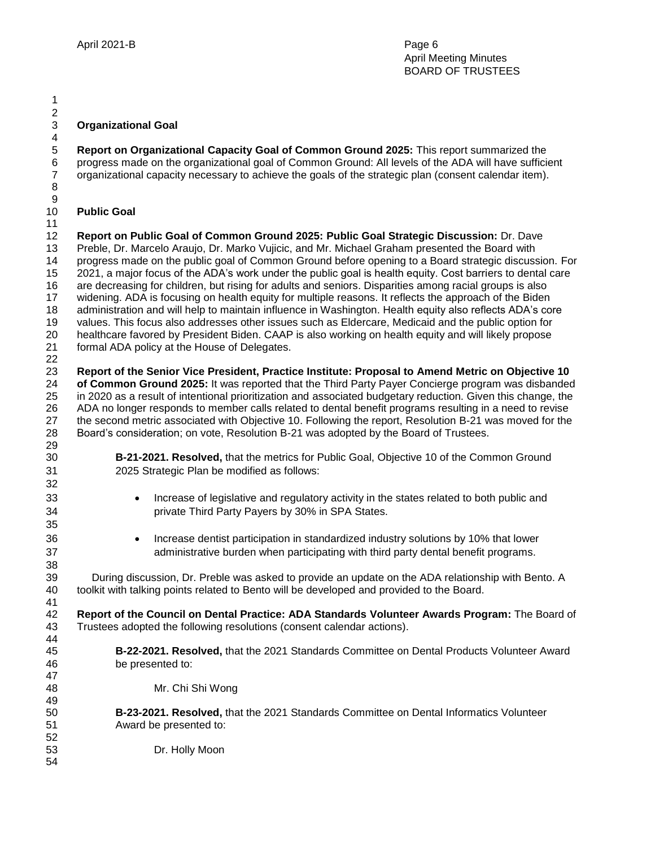#### **Organizational Goal**

 **Report on Organizational Capacity Goal of Common Ground 2025:** This report summarized the progress made on the organizational goal of Common Ground: All levels of the ADA will have sufficient organizational capacity necessary to achieve the goals of the strategic plan (consent calendar item). 

#### **Public Goal**

  $\frac{2}{3}$ 

 **Report on Public Goal of Common Ground 2025: Public Goal Strategic Discussion:** Dr. Dave Preble, Dr. Marcelo Araujo, Dr. Marko Vujicic, and Mr. Michael Graham presented the Board with progress made on the public goal of Common Ground before opening to a Board strategic discussion. For 2021, a major focus of the ADA's work under the public goal is health equity. Cost barriers to dental care are decreasing for children, but rising for adults and seniors. Disparities among racial groups is also widening. ADA is focusing on health equity for multiple reasons. It reflects the approach of the Biden administration and will help to maintain influence in Washington. Health equity also reflects ADA's core values. This focus also addresses other issues such as Eldercare, Medicaid and the public option for healthcare favored by President Biden. CAAP is also working on health equity and will likely propose formal ADA policy at the House of Delegates. 

 **Report of the Senior Vice President, Practice Institute: Proposal to Amend Metric on Objective 10 of Common Ground 2025:** It was reported that the Third Party Payer Concierge program was disbanded in 2020 as a result of intentional prioritization and associated budgetary reduction. Given this change, the ADA no longer responds to member calls related to dental benefit programs resulting in a need to revise the second metric associated with Objective 10. Following the report, Resolution B-21 was moved for the Board's consideration; on vote, Resolution B-21 was adopted by the Board of Trustees. 

- **B-21-2021. Resolved,** that the metrics for Public Goal, Objective 10 of the Common Ground 2025 Strategic Plan be modified as follows:
- **Increase of legislative and regulatory activity in the states related to both public and** private Third Party Payers by 30% in SPA States.
- Increase dentist participation in standardized industry solutions by 10% that lower administrative burden when participating with third party dental benefit programs.

 39 During discussion, Dr. Preble was asked to provide an update on the ADA relationship with Bento. A toolkit with talking points related to Bento will be developed and provided to the Board. 

 **Report of the Council on Dental Practice: ADA Standards Volunteer Awards Program:** The Board of Trustees adopted the following resolutions (consent calendar actions). 

- **B-22-2021. Resolved,** that the 2021 Standards Committee on Dental Products Volunteer Award be presented to:
- Mr. Chi Shi Wong
- **B-23-2021. Resolved,** that the 2021 Standards Committee on Dental Informatics Volunteer Award be presented to:
- Dr. Holly Moon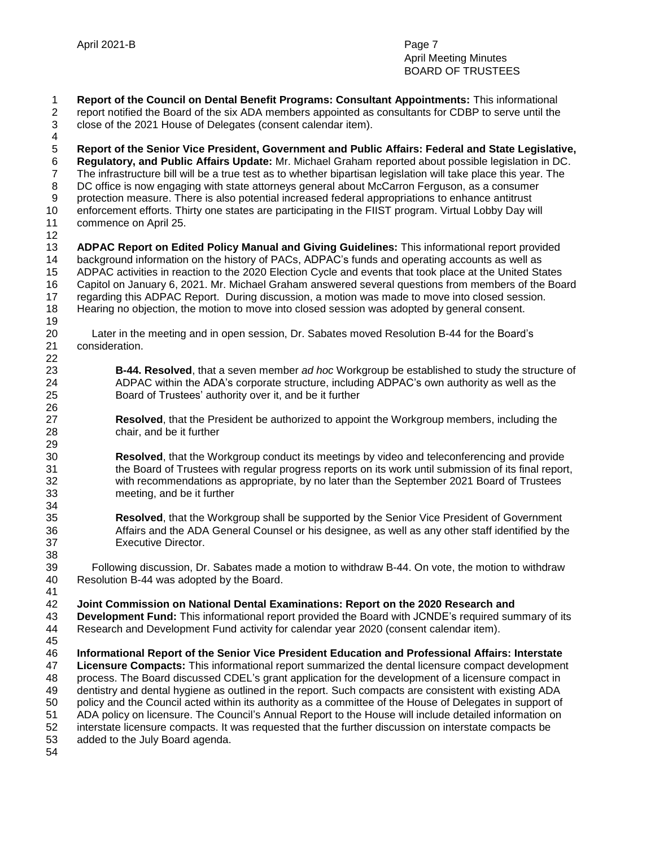**Report of the Council on Dental Benefit Programs: Consultant Appointments:** This informational report notified the Board of the six ADA members appointed as consultants for CDBP to serve until the close of the 2021 House of Delegates (consent calendar item). **Report of the Senior Vice President, Government and Public Affairs: Federal and State Legislative, Regulatory, and Public Affairs Update:** Mr. Michael Graham reported about possible legislation in DC. The infrastructure bill will be a true test as to whether bipartisan legislation will take place this year. The DC office is now engaging with state attorneys general about McCarron Ferguson, as a consumer protection measure. There is also potential increased federal appropriations to enhance antitrust enforcement efforts. Thirty one states are participating in the FIIST program. Virtual Lobby Day will commence on April 25. **ADPAC Report on Edited Policy Manual and Giving Guidelines:** This informational report provided background information on the history of PACs, ADPAC's funds and operating accounts as well as ADPAC activities in reaction to the 2020 Election Cycle and events that took place at the United States Capitol on January 6, 2021. Mr. Michael Graham answered several questions from members of the Board regarding this ADPAC Report. During discussion, a motion was made to move into closed session. Hearing no objection, the motion to move into closed session was adopted by general consent. 20 Later in the meeting and in open session, Dr. Sabates moved Resolution B-44 for the Board's consideration. **B-44. Resolved**, that a seven member *ad hoc* Workgroup be established to study the structure of ADPAC within the ADA's corporate structure, including ADPAC's own authority as well as the Board of Trustees' authority over it, and be it further **Resolved**, that the President be authorized to appoint the Workgroup members, including the chair, and be it further **Resolved**, that the Workgroup conduct its meetings by video and teleconferencing and provide the Board of Trustees with regular progress reports on its work until submission of its final report, with recommendations as appropriate, by no later than the September 2021 Board of Trustees meeting, and be it further **Resolved**, that the Workgroup shall be supported by the Senior Vice President of Government Affairs and the ADA General Counsel or his designee, as well as any other staff identified by the Executive Director. 39 Following discussion, Dr. Sabates made a motion to withdraw B-44. On vote, the motion to withdraw Resolution B-44 was adopted by the Board. **Joint Commission on National Dental Examinations: Report on the 2020 Research and Development Fund:** This informational report provided the Board with JCNDE's required summary of its Research and Development Fund activity for calendar year 2020 (consent calendar item). **Informational Report of the Senior Vice President Education and Professional Affairs: Interstate Licensure Compacts:** This informational report summarized the dental licensure compact development process. The Board discussed CDEL's grant application for the development of a licensure compact in dentistry and dental hygiene as outlined in the report. Such compacts are consistent with existing ADA policy and the Council acted within its authority as a committee of the House of Delegates in support of ADA policy on licensure. The Council's Annual Report to the House will include detailed information on interstate licensure compacts. It was requested that the further discussion on interstate compacts be added to the July Board agenda.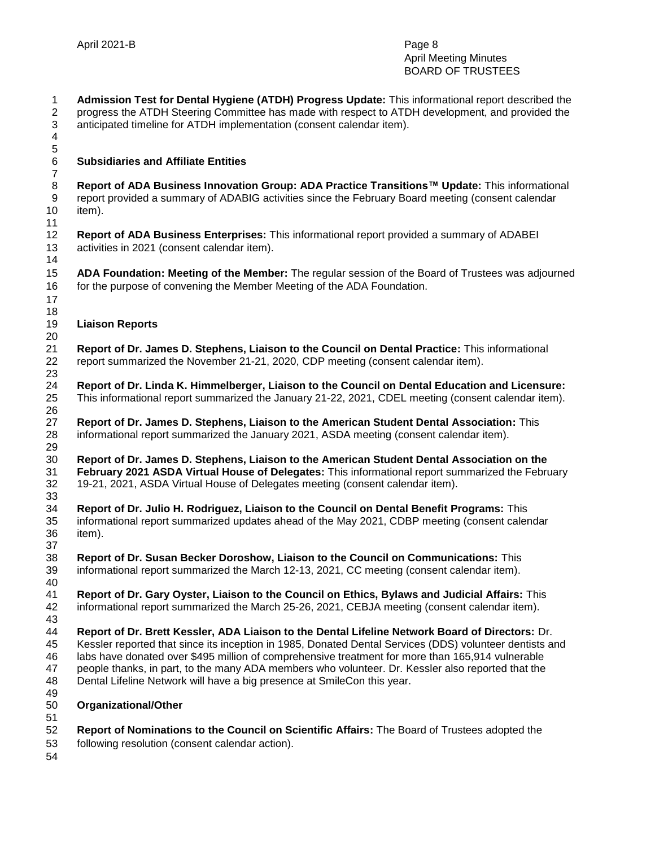**Admission Test for Dental Hygiene (ATDH) Progress Update:** This informational report described the progress the ATDH Steering Committee has made with respect to ATDH development, and provided the anticipated timeline for ATDH implementation (consent calendar item). 

## **Subsidiaries and Affiliate Entities**

 **Report of ADA Business Innovation Group: ADA Practice Transitions™ Update:** This informational report provided a summary of ADABIG activities since the February Board meeting (consent calendar item).

 **Report of ADA Business Enterprises:** This informational report provided a summary of ADABEI activities in 2021 (consent calendar item).

 **ADA Foundation: Meeting of the Member:** The regular session of the Board of Trustees was adjourned for the purpose of convening the Member Meeting of the ADA Foundation.

#### **Liaison Reports**

 **Report of Dr. James D. Stephens, Liaison to the Council on Dental Practice:** This informational report summarized the November 21-21, 2020, CDP meeting (consent calendar item). 

 **Report of Dr. Linda K. Himmelberger, Liaison to the Council on Dental Education and Licensure:** This informational report summarized the January 21-22, 2021, CDEL meeting (consent calendar item). 

 **Report of Dr. James D. Stephens, Liaison to the American Student Dental Association:** This informational report summarized the January 2021, ASDA meeting (consent calendar item). 

 **Report of Dr. James D. Stephens, Liaison to the American Student Dental Association on the February 2021 ASDA Virtual House of Delegates:** This informational report summarized the February 19-21, 2021, ASDA Virtual House of Delegates meeting (consent calendar item).

 **Report of Dr. Julio H. Rodriguez, Liaison to the Council on Dental Benefit Programs:** This informational report summarized updates ahead of the May 2021, CDBP meeting (consent calendar item). 

 **Report of Dr. Susan Becker Doroshow, Liaison to the Council on Communications:** This informational report summarized the March 12-13, 2021, CC meeting (consent calendar item).

40<br>41 **Report of Dr. Gary Oyster, Liaison to the Council on Ethics, Bylaws and Judicial Affairs:** This informational report summarized the March 25-26, 2021, CEBJA meeting (consent calendar item).

 **Report of Dr. Brett Kessler, ADA Liaison to the Dental Lifeline Network Board of Directors:** Dr. Kessler reported that since its inception in 1985, Donated Dental Services (DDS) volunteer dentists and labs have donated over \$495 million of comprehensive treatment for more than 165,914 vulnerable people thanks, in part, to the many ADA members who volunteer. Dr. Kessler also reported that the Dental Lifeline Network will have a big presence at SmileCon this year.

- 
- **Organizational/Other**
- **Report of Nominations to the Council on Scientific Affairs:** The Board of Trustees adopted the following resolution (consent calendar action).
-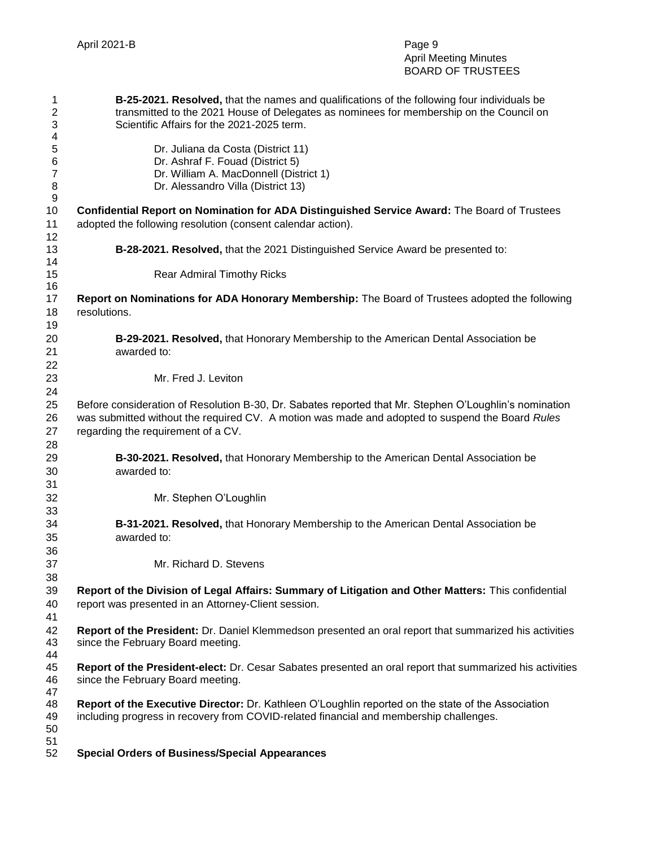| 1<br>2<br>3    | B-25-2021. Resolved, that the names and qualifications of the following four individuals be<br>transmitted to the 2021 House of Delegates as nominees for membership on the Council on<br>Scientific Affairs for the 2021-2025 term. |
|----------------|--------------------------------------------------------------------------------------------------------------------------------------------------------------------------------------------------------------------------------------|
| 4              |                                                                                                                                                                                                                                      |
| 5              | Dr. Juliana da Costa (District 11)                                                                                                                                                                                                   |
| 6              | Dr. Ashraf F. Fouad (District 5)                                                                                                                                                                                                     |
| $\overline{7}$ | Dr. William A. MacDonnell (District 1)                                                                                                                                                                                               |
| 8              | Dr. Alessandro Villa (District 13)                                                                                                                                                                                                   |
| 9              |                                                                                                                                                                                                                                      |
| 10             | Confidential Report on Nomination for ADA Distinguished Service Award: The Board of Trustees                                                                                                                                         |
| 11             | adopted the following resolution (consent calendar action).                                                                                                                                                                          |
| 12             |                                                                                                                                                                                                                                      |
| 13<br>14       | B-28-2021. Resolved, that the 2021 Distinguished Service Award be presented to:                                                                                                                                                      |
| 15             | <b>Rear Admiral Timothy Ricks</b>                                                                                                                                                                                                    |
| 16             |                                                                                                                                                                                                                                      |
| 17             | Report on Nominations for ADA Honorary Membership: The Board of Trustees adopted the following                                                                                                                                       |
| 18             | resolutions.                                                                                                                                                                                                                         |
| 19             |                                                                                                                                                                                                                                      |
| 20             | B-29-2021. Resolved, that Honorary Membership to the American Dental Association be                                                                                                                                                  |
| 21             | awarded to:                                                                                                                                                                                                                          |
| 22             |                                                                                                                                                                                                                                      |
| 23             | Mr. Fred J. Leviton                                                                                                                                                                                                                  |
| 24             |                                                                                                                                                                                                                                      |
| 25             | Before consideration of Resolution B-30, Dr. Sabates reported that Mr. Stephen O'Loughlin's nomination                                                                                                                               |
| 26             | was submitted without the required CV. A motion was made and adopted to suspend the Board Rules                                                                                                                                      |
| 27             | regarding the requirement of a CV.                                                                                                                                                                                                   |
| 28             |                                                                                                                                                                                                                                      |
| 29             | B-30-2021. Resolved, that Honorary Membership to the American Dental Association be                                                                                                                                                  |
| 30             | awarded to:                                                                                                                                                                                                                          |
| 31             |                                                                                                                                                                                                                                      |
| 32             | Mr. Stephen O'Loughlin                                                                                                                                                                                                               |
| 33             |                                                                                                                                                                                                                                      |
| 34             | B-31-2021. Resolved, that Honorary Membership to the American Dental Association be                                                                                                                                                  |
| 35             | awarded to:                                                                                                                                                                                                                          |
| 36             |                                                                                                                                                                                                                                      |
| 37             | Mr. Richard D. Stevens                                                                                                                                                                                                               |
| 38             |                                                                                                                                                                                                                                      |
| 39             | Report of the Division of Legal Affairs: Summary of Litigation and Other Matters: This confidential                                                                                                                                  |
| 40             | report was presented in an Attorney-Client session.                                                                                                                                                                                  |
| 41             |                                                                                                                                                                                                                                      |
| 42             | Report of the President: Dr. Daniel Klemmedson presented an oral report that summarized his activities                                                                                                                               |
| 43             | since the February Board meeting.                                                                                                                                                                                                    |
| 44             |                                                                                                                                                                                                                                      |
| 45             | Report of the President-elect: Dr. Cesar Sabates presented an oral report that summarized his activities                                                                                                                             |
| 46             | since the February Board meeting.                                                                                                                                                                                                    |
| 47             |                                                                                                                                                                                                                                      |
| 48             | Report of the Executive Director: Dr. Kathleen O'Loughlin reported on the state of the Association                                                                                                                                   |
| 49             | including progress in recovery from COVID-related financial and membership challenges.                                                                                                                                               |
| 50             |                                                                                                                                                                                                                                      |
| 51             |                                                                                                                                                                                                                                      |
| 52             | <b>Special Orders of Business/Special Appearances</b>                                                                                                                                                                                |